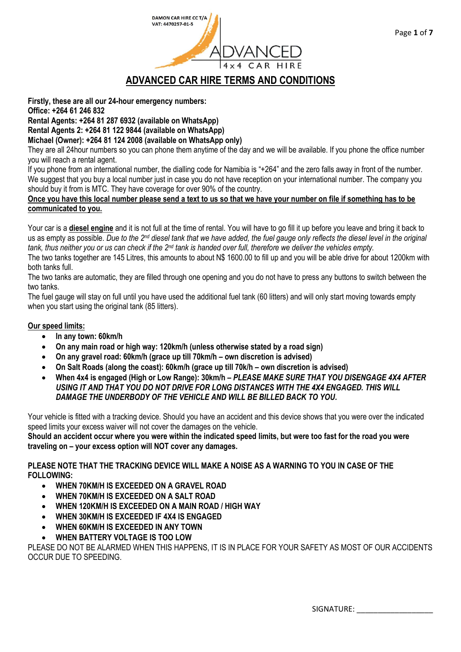

**Firstly, these are all our 24-hour emergency numbers:**

**Office: +264 61 246 832**

**Rental Agents: +264 81 287 6932 (available on WhatsApp)**

**Rental Agents 2: +264 81 122 9844 (available on WhatsApp)**

### **Michael (Owner): +264 81 124 2008 (available on WhatsApp only)**

They are all 24hour numbers so you can phone them anytime of the day and we will be available. If you phone the office number you will reach a rental agent.

If you phone from an international number, the dialling code for Namibia is "+264" and the zero falls away in front of the number. We suggest that you buy a local number just in case you do not have reception on your international number. The company you should buy it from is MTC. They have coverage for over 90% of the country.

#### **Once you have this local number please send a text to us so that we have your number on file if something has to be communicated to you.**

Your car is a **diesel engine** and it is not full at the time of rental. You will have to go fill it up before you leave and bring it back to us as empty as possible. *Due to the 2nd diesel tank that we have added, the fuel gauge only reflects the diesel level in the original tank, thus neither you or us can check if the 2nd tank is handed over full, therefore we deliver the vehicles empty.*

The two tanks together are 145 Litres, this amounts to about N\$ 1600.00 to fill up and you will be able drive for about 1200km with both tanks full.

The two tanks are automatic, they are filled through one opening and you do not have to press any buttons to switch between the two tanks.

The fuel gauge will stay on full until you have used the additional fuel tank (60 litters) and will only start moving towards empty when you start using the original tank (85 litters).

### **Our speed limits:**

- **In any town: 60km/h**
- **On any main road or high way: 120km/h (unless otherwise stated by a road sign)**
- **On any gravel road: 60km/h (grace up till 70km/h – own discretion is advised)**
- **On Salt Roads (along the coast): 60km/h (grace up till 70k/h – own discretion is advised)**
- **When 4x4 is engaged (High or Low Range): 30km/h –** *PLEASE MAKE SURE THAT YOU DISENGAGE 4X4 AFTER USING IT AND THAT YOU DO NOT DRIVE FOR LONG DISTANCES WITH THE 4X4 ENGAGED. THIS WILL DAMAGE THE UNDERBODY OF THE VEHICLE AND WILL BE BILLED BACK TO YOU.*

Your vehicle is fitted with a tracking device. Should you have an accident and this device shows that you were over the indicated speed limits your excess waiver will not cover the damages on the vehicle.

**Should an accident occur where you were within the indicated speed limits, but were too fast for the road you were traveling on – your excess option will NOT cover any damages.**

**PLEASE NOTE THAT THE TRACKING DEVICE WILL MAKE A NOISE AS A WARNING TO YOU IN CASE OF THE FOLLOWING:**

- **WHEN 70KM/H IS EXCEEDED ON A GRAVEL ROAD**
- **WHEN 70KM/H IS EXCEEDED ON A SALT ROAD**
- **WHEN 120KM/H IS EXCEEDED ON A MAIN ROAD / HIGH WAY**
- **WHEN 30KM/H IS EXCEEDED IF 4X4 IS ENGAGED**
- **WHEN 60KM/H IS EXCEEDED IN ANY TOWN**
- **WHEN BATTERY VOLTAGE IS TOO LOW**

PLEASE DO NOT BE ALARMED WHEN THIS HAPPENS, IT IS IN PLACE FOR YOUR SAFETY AS MOST OF OUR ACCIDENTS OCCUR DUE TO SPEEDING.

SIGNATURE: \_\_\_\_\_\_\_\_\_\_\_\_\_\_\_\_\_\_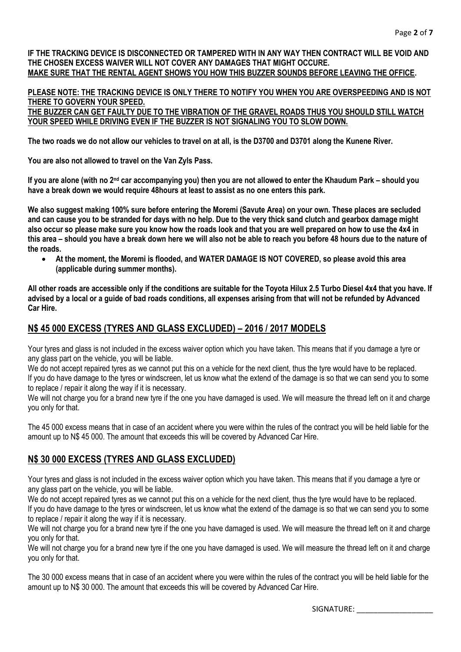**IF THE TRACKING DEVICE IS DISCONNECTED OR TAMPERED WITH IN ANY WAY THEN CONTRACT WILL BE VOID AND THE CHOSEN EXCESS WAIVER WILL NOT COVER ANY DAMAGES THAT MIGHT OCCURE. MAKE SURE THAT THE RENTAL AGENT SHOWS YOU HOW THIS BUZZER SOUNDS BEFORE LEAVING THE OFFICE.**

# **PLEASE NOTE: THE TRACKING DEVICE IS ONLY THERE TO NOTIFY YOU WHEN YOU ARE OVERSPEEDING AND IS NOT THERE TO GOVERN YOUR SPEED.**

**THE BUZZER CAN GET FAULTY DUE TO THE VIBRATION OF THE GRAVEL ROADS THUS YOU SHOULD STILL WATCH YOUR SPEED WHILE DRIVING EVEN IF THE BUZZER IS NOT SIGNALING YOU TO SLOW DOWN.**

**The two roads we do not allow our vehicles to travel on at all, is the D3700 and D3701 along the Kunene River.** 

**You are also not allowed to travel on the Van Zyls Pass.**

**If you are alone (with no 2nd car accompanying you) then you are not allowed to enter the Khaudum Park – should you have a break down we would require 48hours at least to assist as no one enters this park.**

**We also suggest making 100% sure before entering the Moremi (Savute Area) on your own. These places are secluded and can cause you to be stranded for days with no help. Due to the very thick sand clutch and gearbox damage might also occur so please make sure you know how the roads look and that you are well prepared on how to use the 4x4 in this area – should you have a break down here we will also not be able to reach you before 48 hours due to the nature of the roads.**

• **At the moment, the Moremi is flooded, and WATER DAMAGE IS NOT COVERED, so please avoid this area (applicable during summer months).**

**All other roads are accessible only if the conditions are suitable for the Toyota Hilux 2.5 Turbo Diesel 4x4 that you have. If advised by a local or a guide of bad roads conditions, all expenses arising from that will not be refunded by Advanced Car Hire.**

## **N\$ 45 000 EXCESS (TYRES AND GLASS EXCLUDED) – 2016 / 2017 MODELS**

Your tyres and glass is not included in the excess waiver option which you have taken. This means that if you damage a tyre or any glass part on the vehicle, you will be liable.

We do not accept repaired tyres as we cannot put this on a vehicle for the next client, thus the tyre would have to be replaced. If you do have damage to the tyres or windscreen, let us know what the extend of the damage is so that we can send you to some to replace / repair it along the way if it is necessary.

We will not charge you for a brand new tyre if the one you have damaged is used. We will measure the thread left on it and charge you only for that.

The 45 000 excess means that in case of an accident where you were within the rules of the contract you will be held liable for the amount up to N\$ 45 000. The amount that exceeds this will be covered by Advanced Car Hire.

# **N\$ 30 000 EXCESS (TYRES AND GLASS EXCLUDED)**

Your tyres and glass is not included in the excess waiver option which you have taken. This means that if you damage a tyre or any glass part on the vehicle, you will be liable.

We do not accept repaired tyres as we cannot put this on a vehicle for the next client, thus the tyre would have to be replaced. If you do have damage to the tyres or windscreen, let us know what the extend of the damage is so that we can send you to some to replace / repair it along the way if it is necessary.

We will not charge you for a brand new tyre if the one you have damaged is used. We will measure the thread left on it and charge you only for that.

We will not charge you for a brand new tyre if the one you have damaged is used. We will measure the thread left on it and charge you only for that.

The 30 000 excess means that in case of an accident where you were within the rules of the contract you will be held liable for the amount up to N\$ 30 000. The amount that exceeds this will be covered by Advanced Car Hire.

SIGNATURE: \_\_\_\_\_\_\_\_\_\_\_\_\_\_\_\_\_\_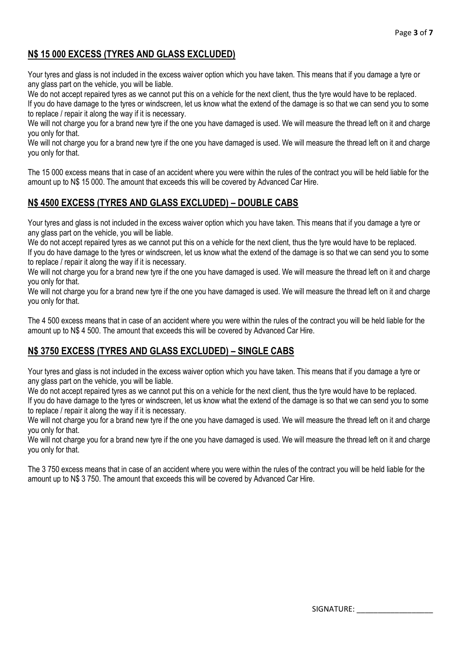# **N\$ 15 000 EXCESS (TYRES AND GLASS EXCLUDED)**

Your tyres and glass is not included in the excess waiver option which you have taken. This means that if you damage a tyre or any glass part on the vehicle, you will be liable.

We do not accept repaired tyres as we cannot put this on a vehicle for the next client, thus the tyre would have to be replaced.

If you do have damage to the tyres or windscreen, let us know what the extend of the damage is so that we can send you to some to replace / repair it along the way if it is necessary.

We will not charge you for a brand new tyre if the one you have damaged is used. We will measure the thread left on it and charge you only for that.

We will not charge you for a brand new tyre if the one you have damaged is used. We will measure the thread left on it and charge you only for that.

The 15 000 excess means that in case of an accident where you were within the rules of the contract you will be held liable for the amount up to N\$ 15 000. The amount that exceeds this will be covered by Advanced Car Hire.

# **N\$ 4500 EXCESS (TYRES AND GLASS EXCLUDED) – DOUBLE CABS**

Your tyres and glass is not included in the excess waiver option which you have taken. This means that if you damage a tyre or any glass part on the vehicle, you will be liable.

We do not accept repaired tyres as we cannot put this on a vehicle for the next client, thus the tyre would have to be replaced. If you do have damage to the tyres or windscreen, let us know what the extend of the damage is so that we can send you to some to replace / repair it along the way if it is necessary.

We will not charge you for a brand new tyre if the one you have damaged is used. We will measure the thread left on it and charge you only for that.

We will not charge you for a brand new tyre if the one you have damaged is used. We will measure the thread left on it and charge you only for that.

The 4 500 excess means that in case of an accident where you were within the rules of the contract you will be held liable for the amount up to N\$ 4 500. The amount that exceeds this will be covered by Advanced Car Hire.

# **N\$ 3750 EXCESS (TYRES AND GLASS EXCLUDED) – SINGLE CABS**

Your tyres and glass is not included in the excess waiver option which you have taken. This means that if you damage a tyre or any glass part on the vehicle, you will be liable.

We do not accept repaired tyres as we cannot put this on a vehicle for the next client, thus the tyre would have to be replaced. If you do have damage to the tyres or windscreen, let us know what the extend of the damage is so that we can send you to some to replace / repair it along the way if it is necessary.

We will not charge you for a brand new tyre if the one you have damaged is used. We will measure the thread left on it and charge you only for that.

We will not charge you for a brand new tyre if the one you have damaged is used. We will measure the thread left on it and charge you only for that.

The 3 750 excess means that in case of an accident where you were within the rules of the contract you will be held liable for the amount up to N\$ 3 750. The amount that exceeds this will be covered by Advanced Car Hire.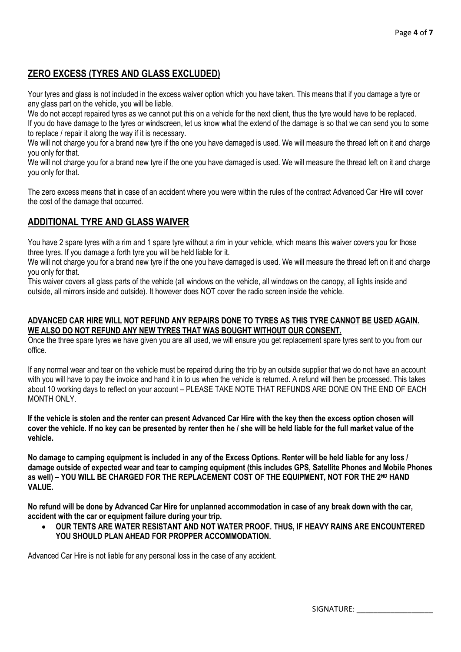# **ZERO EXCESS (TYRES AND GLASS EXCLUDED)**

Your tyres and glass is not included in the excess waiver option which you have taken. This means that if you damage a tyre or any glass part on the vehicle, you will be liable.

We do not accept repaired tyres as we cannot put this on a vehicle for the next client, thus the tyre would have to be replaced. If you do have damage to the tyres or windscreen, let us know what the extend of the damage is so that we can send you to some to replace / repair it along the way if it is necessary.

We will not charge you for a brand new tyre if the one you have damaged is used. We will measure the thread left on it and charge you only for that.

We will not charge you for a brand new tyre if the one you have damaged is used. We will measure the thread left on it and charge you only for that.

The zero excess means that in case of an accident where you were within the rules of the contract Advanced Car Hire will cover the cost of the damage that occurred.

### **ADDITIONAL TYRE AND GLASS WAIVER**

You have 2 spare tyres with a rim and 1 spare tyre without a rim in your vehicle, which means this waiver covers you for those three tyres. If you damage a forth tyre you will be held liable for it.

We will not charge you for a brand new tyre if the one you have damaged is used. We will measure the thread left on it and charge you only for that.

This waiver covers all glass parts of the vehicle (all windows on the vehicle, all windows on the canopy, all lights inside and outside, all mirrors inside and outside). It however does NOT cover the radio screen inside the vehicle.

#### **ADVANCED CAR HIRE WILL NOT REFUND ANY REPAIRS DONE TO TYRES AS THIS TYRE CANNOT BE USED AGAIN. WE ALSO DO NOT REFUND ANY NEW TYRES THAT WAS BOUGHT WITHOUT OUR CONSENT.**

Once the three spare tyres we have given you are all used, we will ensure you get replacement spare tyres sent to you from our office.

If any normal wear and tear on the vehicle must be repaired during the trip by an outside supplier that we do not have an account with you will have to pay the invoice and hand it in to us when the vehicle is returned. A refund will then be processed. This takes about 10 working days to reflect on your account – PLEASE TAKE NOTE THAT REFUNDS ARE DONE ON THE END OF EACH MONTH ONLY

**If the vehicle is stolen and the renter can present Advanced Car Hire with the key then the excess option chosen will cover the vehicle. If no key can be presented by renter then he / she will be held liable for the full market value of the vehicle.**

**No damage to camping equipment is included in any of the Excess Options. Renter will be held liable for any loss / damage outside of expected wear and tear to camping equipment (this includes GPS, Satellite Phones and Mobile Phones as well) – YOU WILL BE CHARGED FOR THE REPLACEMENT COST OF THE EQUIPMENT, NOT FOR THE 2ND HAND VALUE.**

**No refund will be done by Advanced Car Hire for unplanned accommodation in case of any break down with the car, accident with the car or equipment failure during your trip.**

• **OUR TENTS ARE WATER RESISTANT AND NOT WATER PROOF. THUS, IF HEAVY RAINS ARE ENCOUNTERED YOU SHOULD PLAN AHEAD FOR PROPPER ACCOMMODATION.**

Advanced Car Hire is not liable for any personal loss in the case of any accident.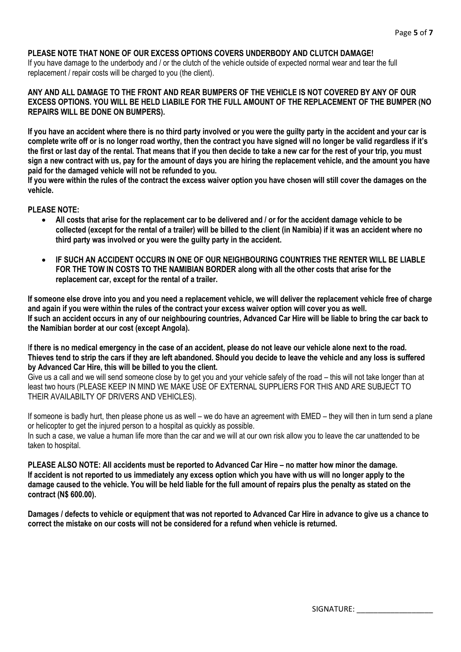#### **PLEASE NOTE THAT NONE OF OUR EXCESS OPTIONS COVERS UNDERBODY AND CLUTCH DAMAGE!**

If you have damage to the underbody and / or the clutch of the vehicle outside of expected normal wear and tear the full replacement / repair costs will be charged to you (the client).

#### **ANY AND ALL DAMAGE TO THE FRONT AND REAR BUMPERS OF THE VEHICLE IS NOT COVERED BY ANY OF OUR EXCESS OPTIONS. YOU WILL BE HELD LIABILE FOR THE FULL AMOUNT OF THE REPLACEMENT OF THE BUMPER (NO REPAIRS WILL BE DONE ON BUMPERS).**

**If you have an accident where there is no third party involved or you were the guilty party in the accident and your car is complete write off or is no longer road worthy, then the contract you have signed will no longer be valid regardless if it's the first or last day of the rental. That means that if you then decide to take a new car for the rest of your trip, you must sign a new contract with us, pay for the amount of days you are hiring the replacement vehicle, and the amount you have paid for the damaged vehicle will not be refunded to you.**

**If you were within the rules of the contract the excess waiver option you have chosen will still cover the damages on the vehicle.**

### **PI FASE NOTE:**

- **All costs that arise for the replacement car to be delivered and / or for the accident damage vehicle to be collected (except for the rental of a trailer) will be billed to the client (in Namibia) if it was an accident where no third party was involved or you were the guilty party in the accident.**
- **IF SUCH AN ACCIDENT OCCURS IN ONE OF OUR NEIGHBOURING COUNTRIES THE RENTER WILL BE LIABLE FOR THE TOW IN COSTS TO THE NAMIBIAN BORDER along with all the other costs that arise for the replacement car, except for the rental of a trailer.**

**If someone else drove into you and you need a replacement vehicle, we will deliver the replacement vehicle free of charge and again if you were within the rules of the contract your excess waiver option will cover you as well. If such an accident occurs in any of our neighbouring countries, Advanced Car Hire will be liable to bring the car back to the Namibian border at our cost (except Angola).**

I**f there is no medical emergency in the case of an accident, please do not leave our vehicle alone next to the road. Thieves tend to strip the cars if they are left abandoned. Should you decide to leave the vehicle and any loss is suffered by Advanced Car Hire, this will be billed to you the client.**

Give us a call and we will send someone close by to get you and your vehicle safely of the road – this will not take longer than at least two hours (PLEASE KEEP IN MIND WE MAKE USE OF EXTERNAL SUPPLIERS FOR THIS AND ARE SUBJECT TO THEIR AVAILABILTY OF DRIVERS AND VEHICLES).

If someone is badly hurt, then please phone us as well – we do have an agreement with EMED – they will then in turn send a plane or helicopter to get the injured person to a hospital as quickly as possible.

In such a case, we value a human life more than the car and we will at our own risk allow you to leave the car unattended to be taken to hospital.

**PLEASE ALSO NOTE: All accidents must be reported to Advanced Car Hire – no matter how minor the damage. If accident is not reported to us immediately any excess option which you have with us will no longer apply to the damage caused to the vehicle. You will be held liable for the full amount of repairs plus the penalty as stated on the contract (N\$ 600.00).**

**Damages / defects to vehicle or equipment that was not reported to Advanced Car Hire in advance to give us a chance to correct the mistake on our costs will not be considered for a refund when vehicle is returned.**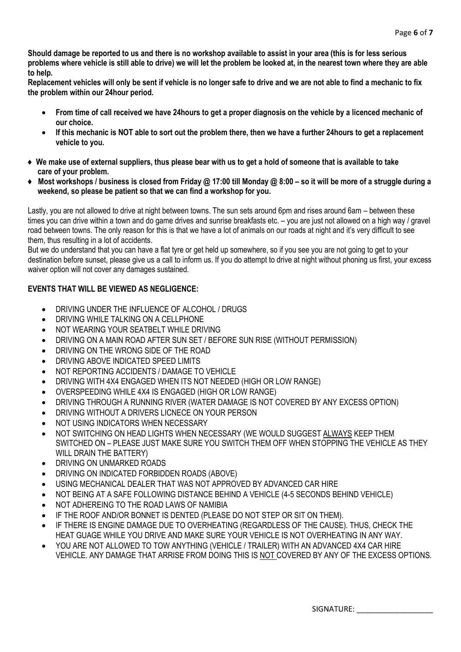**Should damage be reported to us and there is no workshop available to assist in your area (this is for less serious problems where vehicle is still able to drive) we will let the problem be looked at, in the nearest town where they are able to help.**

**Replacement vehicles will only be sent if vehicle is no longer safe to drive and we are not able to find a mechanic to fix the problem within our 24hour period.**

- **From time of call received we have 24hours to get a proper diagnosis on the vehicle by a licenced mechanic of our choice.**
- **If this mechanic is NOT able to sort out the problem there, then we have a further 24hours to get a replacement vehicle to you.**
- **♦ We make use of external suppliers, thus please bear with us to get a hold of someone that is available to take care of your problem.**
- **♦ Most workshops / business is closed from Friday @ 17:00 till Monday @ 8:00 – so it will be more of a struggle during a weekend, so please be patient so that we can find a workshop for you.**

Lastly, you are not allowed to drive at night between towns. The sun sets around 6pm and rises around 6am – between these times you can drive within a town and do game drives and sunrise breakfasts etc. – you are just not allowed on a high way / gravel road between towns. The only reason for this is that we have a lot of animals on our roads at night and it's very difficult to see them, thus resulting in a lot of accidents.

But we do understand that you can have a flat tyre or get held up somewhere, so if you see you are not going to get to your destination before sunset, please give us a call to inform us. If you do attempt to drive at night without phoning us first, your excess waiver option will not cover any damages sustained.

### **EVENTS THAT WILL BE VIEWED AS NEGLIGENCE:**

- DRIVING UNDER THE INFLUENCE OF ALCOHOL / DRUGS
- DRIVING WHILE TALKING ON A CELLPHONE
- NOT WEARING YOUR SEATBELT WHILE DRIVING
- DRIVING ON A MAIN ROAD AFTER SUN SET / BEFORE SUN RISE (WITHOUT PERMISSION)
- DRIVING ON THE WRONG SIDE OF THE ROAD
- DRIVING ABOVE INDICATED SPEED LIMITS
- NOT REPORTING ACCIDENTS / DAMAGE TO VEHICLE
- DRIVING WITH 4X4 ENGAGED WHEN ITS NOT NEEDED (HIGH OR LOW RANGE)
- OVERSPEEDING WHILE 4X4 IS ENGAGED (HIGH OR LOW RANGE)
- DRIVING THROUGH A RUNNING RIVER (WATER DAMAGE IS NOT COVERED BY ANY EXCESS OPTION)
- DRIVING WITHOUT A DRIVERS LICNECE ON YOUR PERSON
- NOT USING INDICATORS WHEN NECESSARY
- NOT SWITCHING ON HEAD LIGHTS WHEN NECESSARY (WE WOULD SUGGEST ALWAYS KEEP THEM SWITCHED ON – PLEASE JUST MAKE SURE YOU SWITCH THEM OFF WHEN STOPPING THE VEHICLE AS THEY WILL DRAIN THE BATTERY)
- DRIVING ON UNMARKED ROADS
- DRIVING ON INDICATED FORBIDDEN ROADS (ABOVE)
- USING MECHANICAL DEALER THAT WAS NOT APPROVED BY ADVANCED CAR HIRE
- NOT BEING AT A SAFE FOLLOWING DISTANCE BEHIND A VEHICLE (4-5 SECONDS BEHIND VEHICLE)
- NOT ADHEREING TO THE ROAD LAWS OF NAMIBIA
- IF THE ROOF AND/OR BONNET IS DENTED (PLEASE DO NOT STEP OR SIT ON THEM).
- IF THERE IS ENGINE DAMAGE DUE TO OVERHEATING (REGARDLESS OF THE CAUSE). THUS, CHECK THE HEAT GUAGE WHILE YOU DRIVE AND MAKE SURE YOUR VEHICLE IS NOT OVERHEATING IN ANY WAY.
- YOU ARE NOT ALLOWED TO TOW ANYTHING (VEHICLE / TRAILER) WITH AN ADVANCED 4X4 CAR HIRE VEHICLE. ANY DAMAGE THAT ARRISE FROM DOING THIS IS NOT COVERED BY ANY OF THE EXCESS OPTIONS.